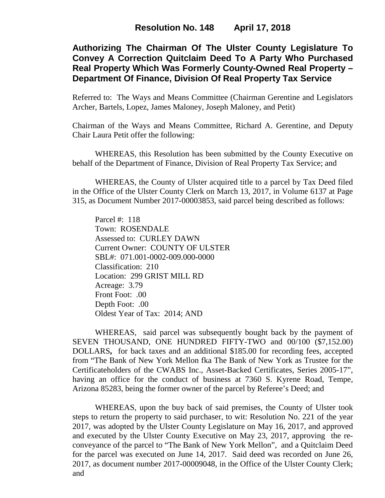# **Authorizing The Chairman Of The Ulster County Legislature To Convey A Correction Quitclaim Deed To A Party Who Purchased Real Property Which Was Formerly County-Owned Real Property – Department Of Finance, Division Of Real Property Tax Service**

Referred to: The Ways and Means Committee (Chairman Gerentine and Legislators Archer, Bartels, Lopez, James Maloney, Joseph Maloney, and Petit)

Chairman of the Ways and Means Committee, Richard A. Gerentine, and Deputy Chair Laura Petit offer the following:

WHEREAS, this Resolution has been submitted by the County Executive on behalf of the Department of Finance, Division of Real Property Tax Service; and

WHEREAS, the County of Ulster acquired title to a parcel by Tax Deed filed in the Office of the Ulster County Clerk on March 13, 2017, in Volume 6137 at Page 315, as Document Number 2017-00003853, said parcel being described as follows:

Parcel #: 118 Town: ROSENDALE Assessed to: CURLEY DAWN Current Owner: COUNTY OF ULSTER SBL#: 071.001-0002-009.000-0000 Classification: 210 Location: 299 GRIST MILL RD Acreage: 3.79 Front Foot: .00 Depth Foot: .00 Oldest Year of Tax: 2014; AND

WHEREAS, said parcel was subsequently bought back by the payment of SEVEN THOUSAND, ONE HUNDRED FIFTY-TWO and 00/100 (\$7,152.00) DOLLARS**,** for back taxes and an additional \$185.00 for recording fees, accepted from "The Bank of New York Mellon fka The Bank of New York as Trustee for the Certificateholders of the CWABS Inc., Asset-Backed Certificates, Series 2005-17", having an office for the conduct of business at 7360 S. Kyrene Road, Tempe, Arizona 85283, being the former owner of the parcel by Referee's Deed; and

WHEREAS, upon the buy back of said premises, the County of Ulster took steps to return the property to said purchaser, to wit: Resolution No. 221 of the year 2017, was adopted by the Ulster County Legislature on May 16, 2017, and approved and executed by the Ulster County Executive on May 23, 2017, approving the reconveyance of the parcel to "The Bank of New York Mellon", and a Quitclaim Deed for the parcel was executed on June 14, 2017. Said deed was recorded on June 26, 2017, as document number 2017-00009048, in the Office of the Ulster County Clerk; and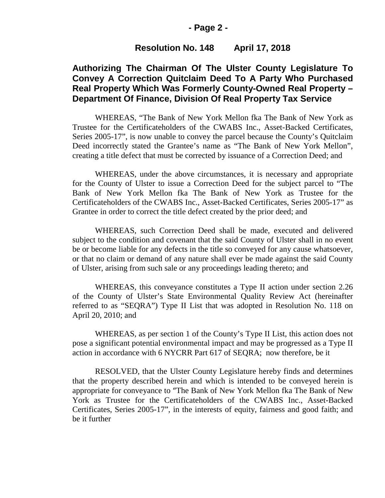#### **- Page 2 -**

#### **Resolution No. 148 April 17, 2018**

## **Authorizing The Chairman Of The Ulster County Legislature To Convey A Correction Quitclaim Deed To A Party Who Purchased Real Property Which Was Formerly County-Owned Real Property – Department Of Finance, Division Of Real Property Tax Service**

WHEREAS, "The Bank of New York Mellon fka The Bank of New York as Trustee for the Certificateholders of the CWABS Inc., Asset-Backed Certificates, Series 2005-17", is now unable to convey the parcel because the County's Quitclaim Deed incorrectly stated the Grantee's name as "The Bank of New York Mellon", creating a title defect that must be corrected by issuance of a Correction Deed; and

WHEREAS, under the above circumstances, it is necessary and appropriate for the County of Ulster to issue a Correction Deed for the subject parcel to "The Bank of New York Mellon fka The Bank of New York as Trustee for the Certificateholders of the CWABS Inc., Asset-Backed Certificates, Series 2005-17" as Grantee in order to correct the title defect created by the prior deed; and

WHEREAS, such Correction Deed shall be made, executed and delivered subject to the condition and covenant that the said County of Ulster shall in no event be or become liable for any defects in the title so conveyed for any cause whatsoever, or that no claim or demand of any nature shall ever be made against the said County of Ulster, arising from such sale or any proceedings leading thereto; and

WHEREAS, this conveyance constitutes a Type II action under section 2.26 of the County of Ulster's State Environmental Quality Review Act (hereinafter referred to as "SEQRA") Type II List that was adopted in Resolution No. 118 on April 20, 2010; and

WHEREAS, as per section 1 of the County's Type II List, this action does not pose a significant potential environmental impact and may be progressed as a Type II action in accordance with 6 NYCRR Part 617 of SEQRA; now therefore, be it

RESOLVED, that the Ulster County Legislature hereby finds and determines that the property described herein and which is intended to be conveyed herein is appropriate for conveyance to "The Bank of New York Mellon fka The Bank of New York as Trustee for the Certificateholders of the CWABS Inc., Asset-Backed Certificates, Series 2005-17", in the interests of equity, fairness and good faith; and be it further